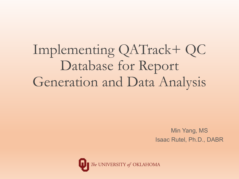Implementing QATrack+ QC Database for Report Generation and Data Analysis

> Min Yang, MS Isaac Rutel, Ph.D., DABR

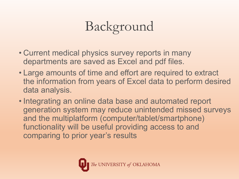## Background

- Current medical physics survey reports in many departments are saved as Excel and pdf files.
- Large amounts of time and effort are required to extract the information from years of Excel data to perform desired data analysis.
- Integrating an online data base and automated report generation system may reduce unintended missed surveys and the multiplatform (computer/tablet/smartphone) functionality will be useful providing access to and comparing to prior year's results

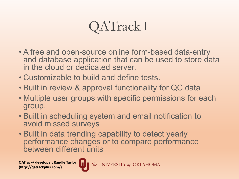

- A free and open-source online form-based data-entry and database application that can be used to store data in the cloud or dedicated server.
- Customizable to build and define tests.
- Built in review & approval functionality for QC data.
- Multiple user groups with specific permissions for each group.
- Built in scheduling system and email notification to avoid missed surveys
- Built in data trending capability to detect yearly performance changes or to compare performance between different units

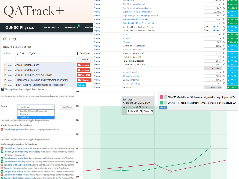# QATrack+

|                     | $\sqrt{1 + 1 + \alpha \cdot 1}$                                                                                                                                                                                                                                                                                                                                                                    |                                    | Annual | Light Field @ Table (cm) perpendicular                                                               | $\Box$<br>O NO TOL<br>20.0000                                                                                                                     |
|---------------------|----------------------------------------------------------------------------------------------------------------------------------------------------------------------------------------------------------------------------------------------------------------------------------------------------------------------------------------------------------------------------------------------------|------------------------------------|--------|------------------------------------------------------------------------------------------------------|---------------------------------------------------------------------------------------------------------------------------------------------------|
|                     |                                                                                                                                                                                                                                                                                                                                                                                                    |                                    | Annual | Radiation Field (cm) Parallel                                                                        | $\Box$<br>$\Theta$ OK(-1.39<br>19.75                                                                                                              |
|                     |                                                                                                                                                                                                                                                                                                                                                                                                    |                                    | Annual | Radiation Field (cm) Perpendicular                                                                   | $20$ $\Box$<br>O OK(0.0%                                                                                                                          |
|                     | <b>OUHSC Physics</b><br>Perform QC $\sim$                                                                                                                                                                                                                                                                                                                                                          | Review QC $\frac{1}{2}$<br>Service | Annual | <b>Overhead SID Indication - Present</b>                                                             | ● Yes<br>$\bigcirc$ No<br>$\Box$<br>O NO TOL                                                                                                      |
|                     |                                                                                                                                                                                                                                                                                                                                                                                                    |                                    | Annual | Overhead SID Indication - Accurate                                                                   | $\bigcirc$ No<br>● Yes<br>$\Box$<br>O NO TOL                                                                                                      |
|                     |                                                                                                                                                                                                                                                                                                                                                                                                    |                                    | Annual | 10 mAs                                                                                               | $\Box$<br><b>◎</b> OK(-1.39<br>79                                                                                                                 |
| <b>&amp;</b> All QC |                                                                                                                                                                                                                                                                                                                                                                                                    |                                    | Annual | 20 mAs                                                                                               | $\Box$<br>$\Theta$ OK(-1.19<br>79.1                                                                                                               |
|                     |                                                                                                                                                                                                                                                                                                                                                                                                    |                                    | Annual | 50 mAs                                                                                               | $\Box$<br><b>◎</b> OK(-1.4%<br>78.9                                                                                                               |
|                     | Showing 1 to 5 of 5 entries                                                                                                                                                                                                                                                                                                                                                                        |                                    | Annual | 0 filtration_1 (Exposure)                                                                            | 600.6 $\Box$<br>O NO TOL                                                                                                                          |
|                     |                                                                                                                                                                                                                                                                                                                                                                                                    |                                    | Annual | >1/2 Output (mm Al)                                                                                  | $\Box$<br>O NO TOL<br>3 <sup>1</sup>                                                                                                              |
| <b>Actions</b>      | LE Test List/Cycle                                                                                                                                                                                                                                                                                                                                                                                 | I Due Date                         | Annual | >1/2 Output (Exposure)                                                                               | $\Box$<br>O NO TOL<br>313.4                                                                                                                       |
|                     |                                                                                                                                                                                                                                                                                                                                                                                                    | ------ <del>v</del>                | Annual | <1/2 Output (mm Al)                                                                                  | $\Box$<br>O NO TOL<br>3.5                                                                                                                         |
|                     |                                                                                                                                                                                                                                                                                                                                                                                                    |                                    | Annual | <1/2 output (Exposure)                                                                               | $\Box$<br>O NO TOL<br>284.6                                                                                                                       |
| Perform             | Annual_portable x-ray                                                                                                                                                                                                                                                                                                                                                                              | 1 Jun 2021                         | Annual | 0 filtration_2 (Exposure)                                                                            | $\Box$<br>O NO TOL<br>599.8                                                                                                                       |
| Perform             | Annual_portable x-ray                                                                                                                                                                                                                                                                                                                                                                              | 3 Jun 2021                         | Annual | HVL (mm Al)                                                                                          | 3.2249302<br>O NO TOL                                                                                                                             |
| Perform             | Annual Portable C-Arm (OEC 9900)                                                                                                                                                                                                                                                                                                                                                                   | 13 Aug 2021                        | Annual | 10 mAs (Linearity)                                                                                   | O NO TOL<br>121.1                                                                                                                                 |
|                     |                                                                                                                                                                                                                                                                                                                                                                                                    |                                    | Annual | 25 mAs (linearity)                                                                                   | $\Box$<br>O NO TOL<br>303.4                                                                                                                       |
| Perform             | Fluoroscopic Shielding and Protection (portable)                                                                                                                                                                                                                                                                                                                                                   | 25 May 2021                        | Annual | 50 mAs (linearity)                                                                                   | O NO TOL<br>$\Box$<br>600.6                                                                                                                       |
| Perform             | Input Phosphor Exposure Rate of Fluoroscopy                                                                                                                                                                                                                                                                                                                                                        | <b>Not Due</b>                     | Annual | 100 mAs (linearity)                                                                                  | $\Box$<br>O NO TOL<br>1200                                                                                                                        |
|                     | Group Membership & Permissions                                                                                                                                                                                                                                                                                                                                                                     | 0.06                               | Annual | <b>Exposure COV</b>                                                                                  | $\odot$ OK(0.01)<br>5.6823005e-3                                                                                                                  |
| Group               | v<br>Students                                                                                                                                                                                                                                                                                                                                                                                      | 0.05<br>+ Add Group                |        | <b>Test List</b><br><b>OUMC PT - Portable AMX</b><br>Wed, 06 Oct 2021 22:52<br>$hide \triangleright$ | OUMC PT - Portable AMX4 (pink) - Annual_portable x-ray :: Exposure COV<br>OUMC PT - Portable AMX4 (green) - Annual_portable x-ray :: Exposure COV |
|                     | Qualified Medical Physicists<br>Residents                                                                                                                                                                                                                                                                                                                                                          |                                    |        | Initiate SE <b>1</b> View <b>1</b>                                                                   |                                                                                                                                                   |
|                     | <b>Students</b><br>Jse the icons/links below to toggle the permission                                                                                                                                                                                                                                                                                                                              | 0.04                               |        |                                                                                                      |                                                                                                                                                   |
|                     |                                                                                                                                                                                                                                                                                                                                                                                                    |                                    |        |                                                                                                      |                                                                                                                                                   |
|                     | <b>Admin Permissions for Students</b><br>Can change groups Allow user to change group permissions                                                                                                                                                                                                                                                                                                  |                                    |        |                                                                                                      |                                                                                                                                                   |
|                     |                                                                                                                                                                                                                                                                                                                                                                                                    | 0.03                               |        |                                                                                                      |                                                                                                                                                   |
|                     | Jse the icons/links below to toggle the permission<br>Performing Permissions for Students                                                                                                                                                                                                                                                                                                          |                                    |        |                                                                                                      |                                                                                                                                                   |
|                     | Can add test list instance Allow user to perform test lists and continue in-p 0.02                                                                                                                                                                                                                                                                                                                 |                                    |        |                                                                                                      |                                                                                                                                                   |
|                     | Choose QC by frequency or category Allows user to pre-emptively filter te.<br>frequency or category.<br>Can view refs and tols Makes reference and tolerance values visible when p<br>Can view test history Makes test history visible when performing a test list. 0.01                                                                                                                           |                                    |        |                                                                                                      |                                                                                                                                                   |
|                     | Can skip without comment Allow a user to skip tests with adding a comme<br>Can override date Allow a user to override the work_completed data<br>Can perform subset of tests Allow a user to filter tests to perform based or.<br>Can edit prior test results Allow a user to edit already completed test resul<br>Can save test lists in progress Can save test lists with the 'In Progress' flag | 0.00                               |        |                                                                                                      |                                                                                                                                                   |

Annual

Annual

Annual

Annual

illuminance

**Dial Dimensions Parallel** 

**Dial Dimensions Perpendicular** 

Light Field @ Table (cm) Parallel

195.6/  $\cup$   $\cup$  OK(22.3%)  $20$   $\Box$   $\odot$  OK(0.0%)

20.5  $\Box$   $\odot$  OK(2.5%)

20.0000 O O NO TOL

 $20.0000$   $\Box$  O NO TOL

 $\Theta$  OK(0.01)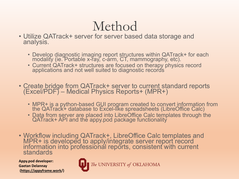### Method

- Utilize QATrack+ server for server based data storage and analysis.
	- Develop diagnostic imaging report structures within QATrack+ for each modality (ie. Portable x-ray, c-arm, CT, mammography, etc).
	- Current QATrack+ structures are focused on therapy physics record applications and not well suited to diagnostic records
- Create bridge from QATrack+ server to current standard reports (Excel/PDF) Medical Physics Reports+ (MPR+)
	- MPR+ is a python-based GUI program created to convert information from the QATrack+ database to Excel-like spreadsheets (LibreOffice Calc)
	- Data from server are placed into LibreOffice Calc templates through the QATrack+ API and the appy.pod package functionality
- Workflow including QATrack+, LibreOffice Calc templates and<br>MPR+ is developed to apply/integrate server report record information into professional reports, consistent with current standards

**Appy.pod developer: Gaetan Delannay [\(https://appyframe.work/](https://appyframe.work/))** 

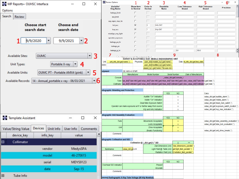| MP Reports+ OUHSC Interface                                                 |                                  |                                        | □                    | ×            | Review Options                                                 | 1                                 | 2                                                       | 3                                                                                                     |                                                                                                                                        | 4                                                                                                                                                | 5                                     | 6 <sup>°</sup><br>$\qquad \qquad -$                                                    | $\times$<br>► |
|-----------------------------------------------------------------------------|----------------------------------|----------------------------------------|----------------------|--------------|----------------------------------------------------------------|-----------------------------------|---------------------------------------------------------|-------------------------------------------------------------------------------------------------------|----------------------------------------------------------------------------------------------------------------------------------------|--------------------------------------------------------------------------------------------------------------------------------------------------|---------------------------------------|----------------------------------------------------------------------------------------|---------------|
| Options                                                                     |                                  |                                        |                      |              | <b>Variable/</b><br><b>Slug Name</b>                           | <b>Show Item</b><br>in Review     | Order in<br>Review                                      | Readable<br><b>Name</b>                                                                               |                                                                                                                                        | <b>Low Tolerance</b><br><b>Bound</b>                                                                                                             | <b>High Tolerance</b><br><b>Bound</b> | Precision                                                                              |               |
|                                                                             |                                  |                                        |                      |              | leakage_limit                                                  | п                                 |                                                         |                                                                                                       |                                                                                                                                        |                                                                                                                                                  |                                       |                                                                                        |               |
| Search<br>Review                                                            |                                  |                                        |                      |              | ese_limit                                                      | П                                 |                                                         |                                                                                                       |                                                                                                                                        |                                                                                                                                                  |                                       |                                                                                        |               |
|                                                                             |                                  |                                        |                      |              | exp_repro_mas_lin                                              |                                   |                                                         |                                                                                                       |                                                                                                                                        |                                                                                                                                                  |                                       |                                                                                        |               |
|                                                                             | <b>Choose start</b>              | <b>Choose end</b>                      |                      |              | hvl_acc                                                        | Б                                 | $\overline{2}$                                          | HVL OK?                                                                                               |                                                                                                                                        |                                                                                                                                                  |                                       |                                                                                        |               |
|                                                                             | search date                      | search date                            |                      |              | kvp_acc                                                        | ⊽                                 | 1                                                       | kVp OK?                                                                                               |                                                                                                                                        |                                                                                                                                                  |                                       |                                                                                        |               |
|                                                                             |                                  |                                        |                      |              | misalign_xray_light                                            | п                                 |                                                         |                                                                                                       |                                                                                                                                        |                                                                                                                                                  |                                       |                                                                                        |               |
|                                                                             | 9/9/2020<br>$\blacktriangledown$ | 9/9/2021                               |                      |              | operator_exposure                                              | п                                 |                                                         |                                                                                                       |                                                                                                                                        |                                                                                                                                                  |                                       |                                                                                        |               |
|                                                                             |                                  |                                        | - 2                  |              | leakage_pe_hr                                                  |                                   |                                                         |                                                                                                       |                                                                                                                                        |                                                                                                                                                  |                                       |                                                                                        |               |
|                                                                             |                                  |                                        |                      |              | leakage_pe                                                     | п                                 |                                                         |                                                                                                       |                                                                                                                                        |                                                                                                                                                  |                                       |                                                                                        |               |
|                                                                             |                                  |                                        |                      |              | leakage_p_hr                                                   | П                                 |                                                         |                                                                                                       | 0.0                                                                                                                                    | 100.0                                                                                                                                            |                                       |                                                                                        | ŧ             |
| <b>Available Sites:</b>                                                     | <b>OUMC</b>                      |                                        | $\blacktriangledown$ | 3            | 7                                                              | C:\Users\irutel\Documents\Proi    |                                                         |                                                                                                       | 9                                                                                                                                      |                                                                                                                                                  |                                       | 8                                                                                      |               |
|                                                                             |                                  |                                        |                      |              | Unit:<br>unit_info_dict.get('name',")                          |                                   |                                                         | SURVEY & ACCEPTANCE TEST: MOBILE RADIOGRAPHIC UNIT<br>Physicists: user_dict['created_by'].get('name') |                                                                                                                                        | Date: nit_info_dict.get("test_date"                                                                                                              |                                       |                                                                                        |               |
| <b>Unit Types:</b>                                                          |                                  | Portable X-ray<br>$\blacktriangledown$ | 4                    |              | GEID:                                                          |                                   |                                                         | user_dict['modified_by'].get('name')                                                                  |                                                                                                                                        |                                                                                                                                                  |                                       |                                                                                        |               |
|                                                                             |                                  |                                        |                      |              |                                                                |                                   |                                                         | /iewed_by').get('name','File was not n                                                                |                                                                                                                                        |                                                                                                                                                  |                                       |                                                                                        |               |
| <b>Available Units:</b>                                                     |                                  | <b>OUMC PT - Portable AMX4 (pink)</b>  | $\blacktriangledown$ | 5            | uipment                                                        | GE AMX+4 XFMR<br>Manufacturer     | <b>Model Number</b>                                     |                                                                                                       | Serial Number                                                                                                                          | Date of Manufacture                                                                                                                              |                                       |                                                                                        |               |
|                                                                             |                                  |                                        |                      |              | Console:                                                       |                                   |                                                         |                                                                                                       | value_dict.get('console_i                                                                                                              |                                                                                                                                                  |                                       |                                                                                        |               |
| - 6<br>14 - Annual_portable x-ray - 06/03/2021<br><b>Available Records:</b> |                                  |                                        |                      |              |                                                                |                                   |                                                         |                                                                                                       | Tube: lue_dict['Tube Info'].get('velue_dict['Tube Info'].get('nalue_dict['Tube Info'].get('s dev_value_dict['Tube Info'].get('date',") |                                                                                                                                                  |                                       |                                                                                        |               |
|                                                                             |                                  |                                        |                      |              |                                                                |                                   |                                                         |                                                                                                       |                                                                                                                                        | Collimator:  ue_dict['Collimator'].get('velue_dict['Collimator'].get('nilue_dict['Collimator'].get('s dev_value_dict['Collimator'].get('date',") |                                       |                                                                                        |               |
|                                                                             |                                  |                                        |                      |              | diographic Shielding and Protection:                           |                                   |                                                         |                                                                                                       |                                                                                                                                        |                                                                                                                                                  |                                       |                                                                                        |               |
|                                                                             |                                  |                                        |                      |              |                                                                |                                   |                                                         | <b>YES</b>                                                                                            | <b>NO</b>                                                                                                                              |                                                                                                                                                  | Calcs:                                |                                                                                        |               |
|                                                                             |                                  |                                        |                      |              |                                                                |                                   | Audible "On" Indication<br>Visible "On" Indication.     |                                                                                                       | x<br>x                                                                                                                                 |                                                                                                                                                  |                                       | value_dict.get('audible_alarm',")<br>value_dict.get("Visible_alarm',")                 |               |
|                                                                             |                                  |                                        |                      |              |                                                                | Dead Man Exposure Switch.         | x                                                       |                                                                                                       |                                                                                                                                        | value_dict.get('dead_man_switch',")                                                                                                              |                                       |                                                                                        |               |
|                                                                             |                                  |                                        |                      |              | Operator can make exposures at 6' or farther away from source. |                                   |                                                         |                                                                                                       | x                                                                                                                                      |                                                                                                                                                  |                                       | value_dict.get('exposure_switch_location',")                                           |               |
|                                                                             |                                  |                                        |                      |              |                                                                |                                   | kVp and mAs Indication.                                 |                                                                                                       | x                                                                                                                                      |                                                                                                                                                  |                                       | value_dict.get('kvp_mas_indication',")                                                 |               |
|                                                                             |                                  |                                        |                      |              | diographic Unit Assembly Evaluation:                           |                                   |                                                         |                                                                                                       |                                                                                                                                        |                                                                                                                                                  |                                       |                                                                                        |               |
| Template Assistant                                                          |                                  |                                        | □                    | $\times$     | Tube                                                           |                                   |                                                         | <b>YES</b>                                                                                            | <b>NO</b>                                                                                                                              |                                                                                                                                                  |                                       |                                                                                        |               |
|                                                                             |                                  |                                        |                      |              |                                                                |                                   | Movements Acceptable:<br>Locks Acceptable:              |                                                                                                       | $\mathbf x$<br>$\mathbf x$                                                                                                             |                                                                                                                                                  |                                       | value_dict.get('tube_assembly_evaluation',<br>value_dict.get('tube_lock_evaluation',") |               |
| Value/String Value                                                          | Devices<br>Unit Info             | User Info                              | Comments             |              | Unit                                                           |                                   |                                                         | Drive Acceptable:                                                                                     | x                                                                                                                                      |                                                                                                                                                  |                                       |                                                                                        |               |
|                                                                             |                                  |                                        |                      |              |                                                                |                                   |                                                         | <b>Breaks Functioning</b>                                                                             | $\mathbf x$                                                                                                                            |                                                                                                                                                  |                                       | value_dict.get('unit_drive_breaks',")                                                  |               |
| device_key                                                                  | info_key                         |                                        | value                |              | Comments:                                                      |                                   |                                                         |                                                                                                       |                                                                                                                                        |                                                                                                                                                  |                                       |                                                                                        |               |
| ⊟<br>Collimator                                                             |                                  |                                        |                      |              | diographic Collimation and SID:                                |                                   |                                                         |                                                                                                       |                                                                                                                                        |                                                                                                                                                  |                                       |                                                                                        |               |
|                                                                             |                                  |                                        |                      |              |                                                                | Collimation @ :_dict.get('s " SID |                                                         | Dial Dimensions (cm): ['dial_dimensions_parallel',")                                                  |                                                                                                                                        | $\equiv$ $\equiv$                                                                                                                                |                                       |                                                                                        |               |
| MedysSPA<br>vendor                                                          |                                  |                                        |                      | Illuminance: | value_dict.goLUX                                               |                                   | Light Field @ Table (cm): get('light_field_parallel',") |                                                                                                       |                                                                                                                                        |                                                                                                                                                  |                                       |                                                                                        |               |
|                                                                             |                                  |                                        |                      |              |                                                                |                                   |                                                         | Radiation Field (cm): t('radiation_field_parallel',")                                                 |                                                                                                                                        |                                                                                                                                                  |                                       |                                                                                        |               |
| model                                                                       |                                  |                                        | 46-270615            |              | Comments:                                                      |                                   |                                                         |                                                                                                       |                                                                                                                                        |                                                                                                                                                  |                                       |                                                                                        |               |
|                                                                             | serial                           |                                        | <b>MDYS9123</b>      |              |                                                                |                                   |                                                         | <b>YES</b>                                                                                            | <b>NO</b>                                                                                                                              |                                                                                                                                                  |                                       |                                                                                        |               |
|                                                                             |                                  |                                        |                      |              | Overhead SID Indication                                        |                                   |                                                         | Present                                                                                               |                                                                                                                                        |                                                                                                                                                  |                                       |                                                                                        |               |
|                                                                             | date                             |                                        | $Sep-15$             |              | Comments:                                                      |                                   |                                                         | Accurate                                                                                              |                                                                                                                                        |                                                                                                                                                  |                                       |                                                                                        |               |
| Tube Info<br>田                                                              |                                  |                                        |                      |              |                                                                |                                   |                                                         |                                                                                                       |                                                                                                                                        |                                                                                                                                                  |                                       |                                                                                        |               |
|                                                                             |                                  |                                        |                      |              | asured Radiographic X-Ray Tube Voltage (80 kVp Nominal):       |                                   |                                                         |                                                                                                       |                                                                                                                                        |                                                                                                                                                  |                                       |                                                                                        |               |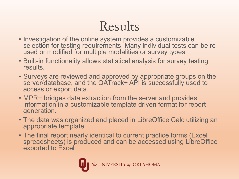## Results

- Investigation of the online system provides a customizable selection for testing requirements. Many individual tests can be re-<br>used or modified for multiple modalities or survey types.
- Built-in functionality allows statistical analysis for survey testing results.
- Surveys are reviewed and approved by appropriate groups on the server/database, and the QATrack+ API is successfully used to access or export data.
- MPR+ bridges data extraction from the server and provides information in a customizable template driven format for report generation.
- The data was organized and placed in LibreOffice Calc utilizing an appropriate template
- The final report nearly identical to current practice forms (Excel spreadsheets) is produced and can be accessed using LibreOffice exported to Excel

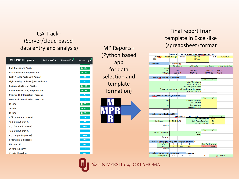#### QA Track+ (Server/cloud based data entry and analysis)

| <b>OUHSC Physics</b>                      | Perform QC $\sim$ | $\mathbf{0}$<br>Review OC - | Service Log -   |
|-------------------------------------------|-------------------|-----------------------------|-----------------|
| <b>Dial Dimensions Parallel</b>           |                   |                             | 0<br>19.5       |
| <b>Dial Dimensions Perpendicular</b>      |                   |                             | $\odot$<br>20   |
| Light Field @ Table (cm) Parallel         |                   | 20                          |                 |
| Light Field @ Table (cm) perpendicular    |                   |                             | 20              |
| <b>Radiation Field (cm) Parallel</b>      |                   |                             | $\odot$<br>20   |
| <b>Radiation Field (cm) Perpendicular</b> |                   |                             | $\odot$<br>19   |
| <b>Overhead SID Indication - Present</b>  |                   |                             | <b>Yes</b>      |
| <b>Overhead SID Indication - Accurate</b> |                   |                             | <b>Yes</b>      |
| 10 mAs                                    |                   |                             | $\odot$<br>82.3 |
| 20 mAs                                    |                   |                             | 82.4<br>$\odot$ |
| <b>50 mAs</b>                             |                   |                             | ◎ 82.5          |
| 0 filtration_1 (Exposure)                 |                   |                             | 924             |
| >1/2 Output (mm Al)                       |                   |                             | 2.5             |
| >1/2 Output (Exposure)                    |                   |                             | 488.4           |
| <1/2 Output (mm Al)                       |                   |                             | 3               |
| <1/2 output (Exposure)                    |                   |                             | 445.2           |
| 0 filtration_2 (Exposure)                 |                   |                             | 922.3           |
| HVL (mm Al)                               |                   |                             | 2.805           |
| 10 mAs (Linearity)                        |                   |                             | 183             |
| 25 mAs (linearity)                        |                   |                             | 460.3           |

| MP Reports+   |
|---------------|
| (Python based |
| app           |
| for data      |
| selection and |
| template      |
| formation)    |
|               |
|               |
|               |

#### Final report from template in Excel -like (spreadsheet) format

|              |                                                                | SURVEY & ACCEPTANCE TEST: MOBILE RADIOGRAPHIC UNIT |                      |                           |                            |                       |                      |               |                            |
|--------------|----------------------------------------------------------------|----------------------------------------------------|----------------------|---------------------------|----------------------------|-----------------------|----------------------|---------------|----------------------------|
|              | Unit: UMC PT - Portable AMX4 (pirr Physicists:                 |                                                    |                      |                           | M. Yang                    |                       | Date:                |               | 06/03/2021                 |
| GEID:        |                                                                |                                                    |                      | M. Yang                   |                            |                       |                      |               |                            |
|              |                                                                |                                                    |                      |                           |                            |                       |                      |               |                            |
| 1. Equipment |                                                                | <b>GE AMX+4 XFMR</b>                               |                      |                           |                            |                       |                      |               |                            |
|              |                                                                | <b>Manufacturer</b>                                |                      | <b>Model Number</b>       |                            |                       | <b>Serial Number</b> |               | <b>Date of Manufacture</b> |
|              | Console:                                                       |                                                    |                      |                           |                            |                       |                      |               |                            |
|              | Tube:                                                          | <b>GE</b>                                          |                      | 2275938-9                 |                            |                       | 136065TX0            | <b>Nov-13</b> |                            |
|              | Collimator:                                                    |                                                    | MedysSPA             | 46-270615                 |                            |                       | <b>MDYS9123</b>      | Sep-15        |                            |
|              |                                                                |                                                    |                      |                           |                            |                       |                      |               |                            |
|              | 2. Radiographic Shielding and Protection:                      |                                                    |                      |                           |                            |                       |                      |               |                            |
|              |                                                                |                                                    |                      |                           |                            | <b>YES</b>            | <b>NO</b>            |               |                            |
|              |                                                                |                                                    |                      | Audible "On" Indication:  |                            | x                     |                      |               |                            |
|              |                                                                |                                                    |                      |                           | Visible "On" Indication:   | X                     |                      |               |                            |
|              |                                                                |                                                    |                      | Dead Man Exposure Switch: |                            |                       |                      |               |                            |
|              |                                                                |                                                    |                      |                           |                            | x                     |                      |               |                            |
|              | Operator can make exposures at 6' or farther away from source: |                                                    |                      |                           |                            | X                     |                      |               |                            |
|              |                                                                |                                                    |                      | kVp and mAs Indication:   |                            | x                     |                      |               |                            |
|              |                                                                |                                                    |                      |                           |                            |                       |                      |               |                            |
|              | 3. Radiographic Unit Assembly Evaluation:                      |                                                    |                      |                           |                            |                       |                      |               |                            |
|              |                                                                |                                                    |                      |                           |                            | <b>YES</b>            | <b>NO</b>            |               |                            |
|              | Tubel                                                          |                                                    |                      | Movements Acceptable:     |                            | x                     |                      |               |                            |
|              |                                                                |                                                    |                      |                           | Locks Acceptable:          | x                     |                      |               |                            |
|              | Unit                                                           |                                                    |                      |                           | Drive Acceptable:          | x                     |                      |               |                            |
|              |                                                                |                                                    |                      |                           | <b>Breaks Functioning:</b> | x                     |                      |               |                            |
|              | Comments:                                                      |                                                    |                      |                           |                            |                       |                      |               |                            |
|              |                                                                |                                                    |                      |                           |                            |                       |                      |               |                            |
|              | 4. Radiographic Collimation and SID:                           |                                                    |                      |                           |                            |                       |                      |               |                            |
|              |                                                                |                                                    | <b>Collimation @</b> | 40                        | " SID                      |                       | Ш                    | $=$           |                            |
|              |                                                                |                                                    |                      |                           |                            | Dial Dimensions (cm): | 19.50                |               |                            |
|              | Illuminance:                                                   | 238.645 LUX                                        |                      |                           | Light Field @ Table (cm):  |                       | 20                   |               |                            |
|              |                                                                |                                                    |                      |                           |                            | Radiation Field (cm): | 20                   |               |                            |
|              | Comments:                                                      |                                                    |                      |                           |                            |                       |                      |               |                            |
|              |                                                                |                                                    |                      |                           |                            |                       |                      |               |                            |
|              |                                                                |                                                    |                      |                           |                            | <b>YES</b>            | <b>NO</b>            |               |                            |
|              | Overhead SID Indication                                        |                                                    |                      |                           | Present                    |                       |                      |               |                            |
|              |                                                                |                                                    |                      |                           | Accurate                   |                       |                      |               |                            |
|              | Comments:                                                      |                                                    |                      |                           |                            |                       |                      |               |                            |
|              |                                                                |                                                    |                      |                           |                            |                       |                      |               |                            |
|              | 5. Measured Radiographic X-Ray Tube Voltage (80 kVp Nominal):  |                                                    |                      |                           |                            |                       |                      |               |                            |
|              | mAs                                                            | 10                                                 | 20                   | 50                        |                            |                       | Mean kVp % variance  |               |                            |
|              | <b>KVp</b>                                                     | 82.3                                               | 824                  | 82.5                      |                            | 82.4                  | 0.10%                |               |                            |
|              | Comments:                                                      |                                                    |                      |                           |                            |                       |                      |               |                            |
|              |                                                                |                                                    |                      |                           |                            |                       |                      |               |                            |
|              |                                                                |                                                    |                      |                           |                            |                       |                      |               |                            |
|              | 6. Radiographic Half Value Layer (80 kVp):                     |                                                    |                      | 50 mAs, 24" SCD           |                            |                       |                      |               |                            |
|              | Filtration (mm of AI)                                          | 0.0                                                | 25                   | 3.0                       |                            | 0.0                   |                      | HVL (mm Al):  |                            |

The UNIVERSITY of OKLAHOMA